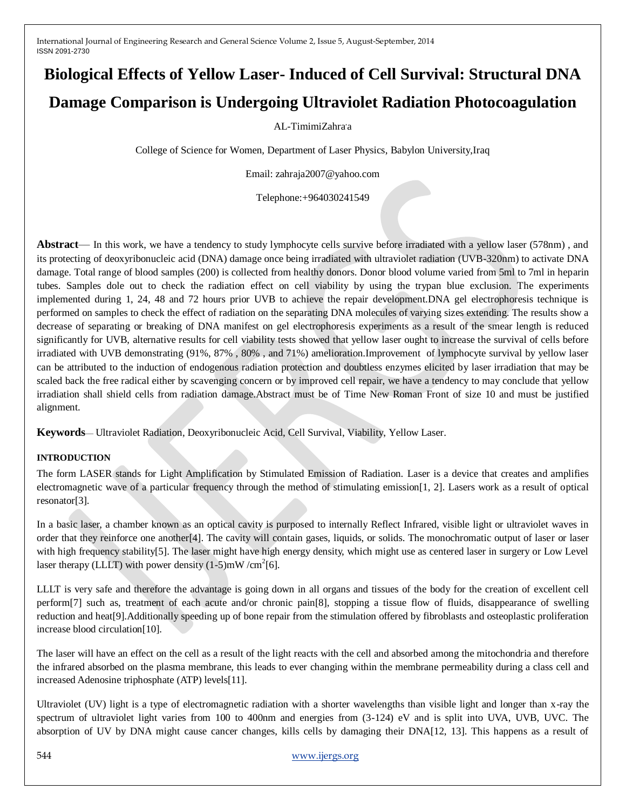# **Biological Effects of Yellow Laser- Induced of Cell Survival: Structural DNA Damage Comparison is Undergoing Ultraviolet Radiation Photocoagulation**

#### AL-TimimiZahra'a

College of Science for Women, Department of Laser Physics, Babylon University,Iraq

Email: zahraja2007@yahoo.com

Telephone:+964030241549

**Abstract**— In this work, we have a tendency to study lymphocyte cells survive before irradiated with a yellow laser (578nm) , and its protecting of deoxyribonucleic acid (DNA) damage once being irradiated with ultraviolet radiation (UVB-320nm) to activate DNA damage. Total range of blood samples (200) is collected from healthy donors. Donor blood volume varied from 5ml to 7ml in heparin tubes. Samples dole out to check the radiation effect on cell viability by using the trypan blue exclusion. The experiments implemented during 1, 24, 48 and 72 hours prior UVB to achieve the repair development.DNA gel electrophoresis technique is performed on samples to check the effect of radiation on the separating DNA molecules of varying sizes extending. The results show a decrease of separating or breaking of DNA manifest on gel electrophoresis experiments as a result of the smear length is reduced significantly for UVB, alternative results for cell viability tests showed that yellow laser ought to increase the survival of cells before irradiated with UVB demonstrating (91%, 87% , 80% , and 71%) amelioration.Improvement of lymphocyte survival by yellow laser can be attributed to the induction of endogenous radiation protection and doubtless enzymes elicited by laser irradiation that may be scaled back the free radical either by scavenging concern or by improved cell repair, we have a tendency to may conclude that yellow irradiation shall shield cells from radiation damage.Abstract must be of Time New Roman Front of size 10 and must be justified alignment.

**Keywords**— Ultraviolet Radiation, Deoxyribonucleic Acid, Cell Survival, Viability, Yellow Laser.

#### **INTRODUCTION**

The form LASER stands for Light Amplification by Stimulated Emission of Radiation. Laser is a device that creates and amplifies electromagnetic wave of a particular frequency through the method of stimulating emission[1, 2]. Lasers work as a result of optical resonator[3].

In a basic laser, a chamber known as an optical cavity is purposed to internally Reflect Infrared, visible light or ultraviolet waves in order that they reinforce one another[4]. The cavity will contain gases, liquids, or solids. The monochromatic output of laser or laser with high frequency stability[5]. The laser might have high energy density, which might use as centered laser in surgery or Low Level laser therapy (LLLT) with power density  $(1-5)$ mW /cm<sup>2</sup>[6].

LLLT is very safe and therefore the advantage is going down in all organs and tissues of the body for the creation of excellent cell perform[7] such as, treatment of each acute and/or chronic pain[8], stopping a tissue flow of fluids, disappearance of swelling reduction and heat[9].Additionally speeding up of bone repair from the stimulation offered by fibroblasts and osteoplastic proliferation increase blood circulation[10].

The laser will have an effect on the cell as a result of the light reacts with the cell and absorbed among the mitochondria and therefore the infrared absorbed on the plasma membrane, this leads to ever changing within the membrane permeability during a class cell and increased Adenosine triphosphate (ATP) levels[11].

Ultraviolet (UV) light is a type of electromagnetic radiation with a shorter wavelengths than visible light and longer than x-ray the spectrum of ultraviolet light varies from 100 to 400nm and energies from (3-124) eV and is split into UVA, UVB, UVC. The absorption of UV by DNA might cause cancer changes, kills cells by damaging their DNA[12, 13]. This happens as a result of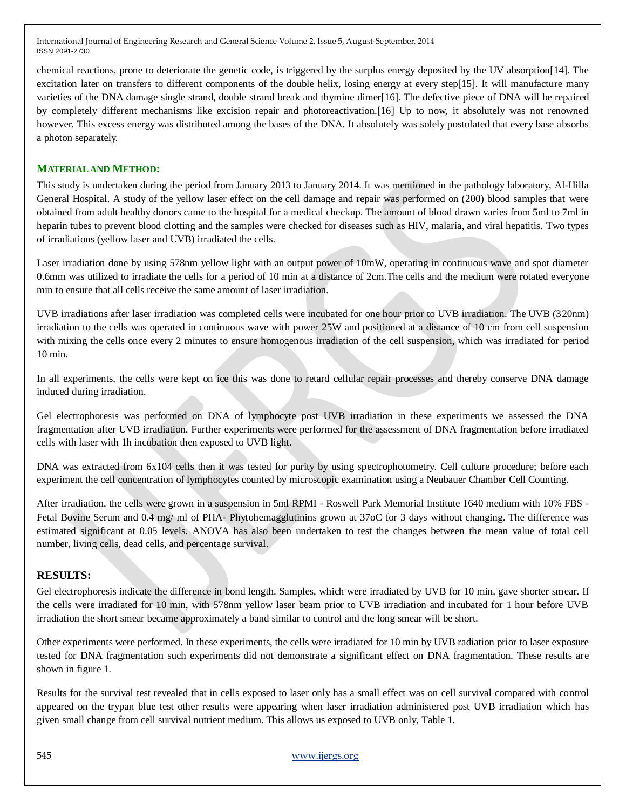chemical reactions, prone to deteriorate the genetic code, is triggered by the surplus energy deposited by the UV absorption[14]. The excitation later on transfers to different components of the double helix, losing energy at every step[15]. It will manufacture many varieties of the DNA damage single strand, double strand break and thymine dimer[16]. The defective piece of DNA will be repaired by completely different mechanisms like excision repair and photoreactivation.[16] Up to now, it absolutely was not renowned however. This excess energy was distributed among the bases of the DNA. It absolutely was solely postulated that every base absorbs a photon separately.

### **MATERIAL AND METHOD:**

This study is undertaken during the period from January 2013 to January 2014. It was mentioned in the pathology laboratory, Al-Hilla General Hospital. A study of the yellow laser effect on the cell damage and repair was performed on (200) blood samples that were obtained from adult healthy donors came to the hospital for a medical checkup. The amount of blood drawn varies from 5ml to 7ml in heparin tubes to prevent blood clotting and the samples were checked for diseases such as HIV, malaria, and viral hepatitis. Two types of irradiations (yellow laser and UVB) irradiated the cells.

Laser irradiation done by using 578nm yellow light with an output power of 10mW, operating in continuous wave and spot diameter 0.6mm was utilized to irradiate the cells for a period of 10 min at a distance of 2cm.The cells and the medium were rotated everyone min to ensure that all cells receive the same amount of laser irradiation.

UVB irradiations after laser irradiation was completed cells were incubated for one hour prior to UVB irradiation. The UVB (320nm) irradiation to the cells was operated in continuous wave with power 25W and positioned at a distance of 10 cm from cell suspension with mixing the cells once every 2 minutes to ensure homogenous irradiation of the cell suspension, which was irradiated for period 10 min.

In all experiments, the cells were kept on ice this was done to retard cellular repair processes and thereby conserve DNA damage induced during irradiation.

Gel electrophoresis was performed on DNA of lymphocyte post UVB irradiation in these experiments we assessed the DNA fragmentation after UVB irradiation. Further experiments were performed for the assessment of DNA fragmentation before irradiated cells with laser with 1h incubation then exposed to UVB light.

DNA was extracted from 6x104 cells then it was tested for purity by using spectrophotometry. Cell culture procedure; before each experiment the cell concentration of lymphocytes counted by microscopic examination using a Neubauer Chamber Cell Counting.

After irradiation, the cells were grown in a suspension in 5ml RPMI - Roswell Park Memorial Institute 1640 medium with 10% FBS - Fetal Bovine Serum and 0.4 mg/ ml of PHA- Phytohemagglutinins grown at 37oC for 3 days without changing. The difference was estimated significant at 0.05 levels. ANOVA has also been undertaken to test the changes between the mean value of total cell number, living cells, dead cells, and percentage survival.

#### **RESULTS:**

Gel electrophoresis indicate the difference in bond length. Samples, which were irradiated by UVB for 10 min, gave shorter smear. If the cells were irradiated for 10 min, with 578nm yellow laser beam prior to UVB irradiation and incubated for 1 hour before UVB irradiation the short smear became approximately a band similar to control and the long smear will be short.

Other experiments were performed. In these experiments, the cells were irradiated for 10 min by UVB radiation prior to laser exposure tested for DNA fragmentation such experiments did not demonstrate a significant effect on DNA fragmentation. These results are shown in figure 1.

Results for the survival test revealed that in cells exposed to laser only has a small effect was on cell survival compared with control appeared on the trypan blue test other results were appearing when laser irradiation administered post UVB irradiation which has given small change from cell survival nutrient medium. This allows us exposed to UVB only, Table 1.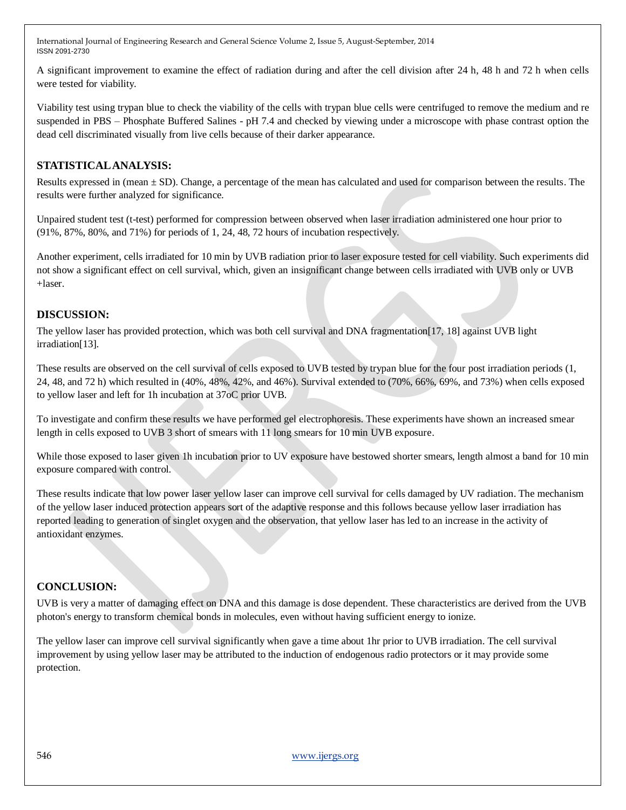A significant improvement to examine the effect of radiation during and after the cell division after 24 h, 48 h and 72 h when cells were tested for viability.

Viability test using trypan blue to check the viability of the cells with trypan blue cells were centrifuged to remove the medium and re suspended in PBS – Phosphate Buffered Salines - pH 7.4 and checked by viewing under a microscope with phase contrast option the dead cell discriminated visually from live cells because of their darker appearance.

## **STATISTICALANALYSIS:**

Results expressed in (mean  $\pm$  SD). Change, a percentage of the mean has calculated and used for comparison between the results. The results were further analyzed for significance.

Unpaired student test (t-test) performed for compression between observed when laser irradiation administered one hour prior to (91%, 87%, 80%, and 71%) for periods of 1, 24, 48, 72 hours of incubation respectively.

Another experiment, cells irradiated for 10 min by UVB radiation prior to laser exposure tested for cell viability. Such experiments did not show a significant effect on cell survival, which, given an insignificant change between cells irradiated with UVB only or UVB +laser.

## **DISCUSSION:**

The yellow laser has provided protection, which was both cell survival and DNA fragmentation[17, 18] against UVB light irradiation[13].

These results are observed on the cell survival of cells exposed to UVB tested by trypan blue for the four post irradiation periods (1, 24, 48, and 72 h) which resulted in (40%, 48%, 42%, and 46%). Survival extended to (70%, 66%, 69%, and 73%) when cells exposed to yellow laser and left for 1h incubation at 37oC prior UVB.

To investigate and confirm these results we have performed gel electrophoresis. These experiments have shown an increased smear length in cells exposed to UVB 3 short of smears with 11 long smears for 10 min UVB exposure.

While those exposed to laser given 1h incubation prior to UV exposure have bestowed shorter smears, length almost a band for 10 min exposure compared with control.

These results indicate that low power laser yellow laser can improve cell survival for cells damaged by UV radiation. The mechanism of the yellow laser induced protection appears sort of the adaptive response and this follows because yellow laser irradiation has reported leading to generation of singlet oxygen and the observation, that yellow laser has led to an increase in the activity of antioxidant enzymes.

## **CONCLUSION:**

UVB is very a matter of damaging effect on DNA and this damage is dose dependent. These characteristics are derived from the UVB photon's energy to transform chemical bonds in molecules, even without having sufficient energy to ionize.

The yellow laser can improve cell survival significantly when gave a time about 1hr prior to UVB irradiation. The cell survival improvement by using yellow laser may be attributed to the induction of endogenous radio protectors or it may provide some protection.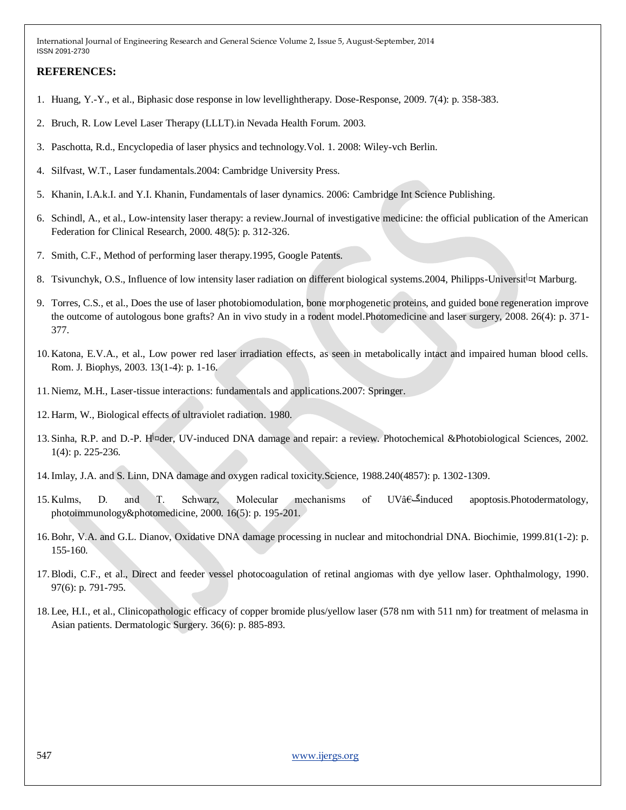#### **REFERENCES:**

- 1. Huang, Y.-Y., et al., Biphasic dose response in low levellightherapy. Dose-Response, 2009. 7(4): p. 358-383.
- 2. Bruch, R. Low Level Laser Therapy (LLLT).in Nevada Health Forum. 2003.
- 3. Paschotta, R.d., Encyclopedia of laser physics and technology.Vol. 1. 2008: Wiley-vch Berlin.
- 4. Silfvast, W.T., Laser fundamentals.2004: Cambridge University Press.
- 5. Khanin, I.A.k.I. and Y.I. Khanin, Fundamentals of laser dynamics. 2006: Cambridge Int Science Publishing.
- 6. Schindl, A., et al., Low-intensity laser therapy: a review.Journal of investigative medicine: the official publication of the American Federation for Clinical Research, 2000. 48(5): p. 312-326.
- 7. Smith, C.F., Method of performing laser therapy.1995, Google Patents.
- 8. Tsivunchyk, O.S., Influence of low intensity laser radiation on different biological systems. 2004, Philipps-Universit<sup>ik</sup>t Marburg.
- 9. Torres, C.S., et al., Does the use of laser photobiomodulation, bone morphogenetic proteins, and guided bone regeneration improve the outcome of autologous bone grafts? An in vivo study in a rodent model.Photomedicine and laser surgery, 2008. 26(4): p. 371- 377.
- 10. Katona, E.V.A., et al., Low power red laser irradiation effects, as seen in metabolically intact and impaired human blood cells. Rom. J. Biophys, 2003. 13(1-4): p. 1-16.
- 11. Niemz, M.H., Laser-tissue interactions: fundamentals and applications.2007: Springer.
- 12. Harm, W., Biological effects of ultraviolet radiation. 1980.
- 13. Sinha, R.P. and D.-P. Hأ¤der, UV-induced DNA damage and repair: a review. Photochemical &Photobiological Sciences, 2002. 1(4): p. 225-236.
- 14.Imlay, J.A. and S. Linn, DNA damage and oxygen radical toxicity.Science, 1988.240(4857): p. 1302-1309.
- 15. Kulms, D. and T. Schwarz, Molecular mechanisms of UVâ€گinduced apoptosis.Photodermatology, photoimmunology&photomedicine, 2000. 16(5): p. 195-201.
- 16.Bohr, V.A. and G.L. Dianov, Oxidative DNA damage processing in nuclear and mitochondrial DNA. Biochimie, 1999.81(1-2): p. 155-160.
- 17.Blodi, C.F., et al., Direct and feeder vessel photocoagulation of retinal angiomas with dye yellow laser. Ophthalmology, 1990. 97(6): p. 791-795.
- 18. Lee, H.I., et al., Clinicopathologic efficacy of copper bromide plus/yellow laser (578 nm with 511 nm) for treatment of melasma in Asian patients. Dermatologic Surgery. 36(6): p. 885-893.